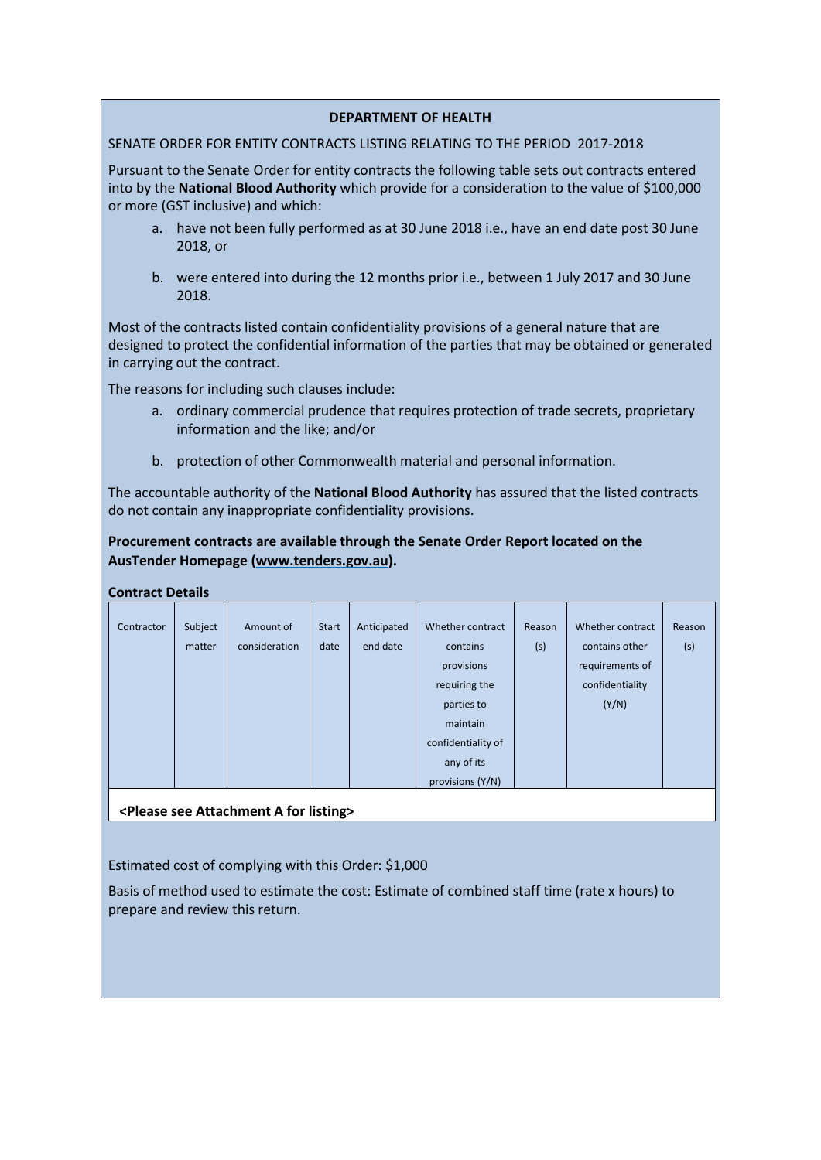## **DEPARTMENT OF HEALTH**

## SENATE ORDER FOR ENTITY CONTRACTS LISTING RELATING TO THE PERIOD 2017-2018

Pursuant to the Senate Order for entity contracts the following table sets out contracts entered into by the **National Blood Authority** which provide for a consideration to the value of \$100,000 or more (GST inclusive) and which:

- a. have not been fully performed as at 30 June 2018 i.e., have an end date post 30 June 2018, or
- b. were entered into during the 12 months prior i.e., between 1 July 2017 and 30 June 2018.

Most of the contracts listed contain confidentiality provisions of a general nature that are designed to protect the confidential information of the parties that may be obtained or generated in carrying out the contract.

The reasons for including such clauses include:

- a. ordinary commercial prudence that requires protection of trade secrets, proprietary information and the like; and/or
- b. protection of other Commonwealth material and personal information.

The accountable authority of the **National Blood Authority** has assured that the listed contracts do not contain any inappropriate confidentiality provisions.

**Procurement contracts are available through the Senate Order Report located on the AusTender Homepage [\(www.tenders.gov.au\)](http://www.tenders.gov.au/).**

| CUIILIALL DELAIIS |         |               |              |             |                    |        |                  |        |  |  |  |
|-------------------|---------|---------------|--------------|-------------|--------------------|--------|------------------|--------|--|--|--|
|                   |         |               |              |             |                    |        |                  |        |  |  |  |
| Contractor        | Subject | Amount of     | <b>Start</b> | Anticipated | Whether contract   | Reason | Whether contract | Reason |  |  |  |
|                   | matter  | consideration | date         | end date    | contains           | (s)    | contains other   | (s)    |  |  |  |
|                   |         |               |              |             | provisions         |        | requirements of  |        |  |  |  |
|                   |         |               |              |             | requiring the      |        | confidentiality  |        |  |  |  |
|                   |         |               |              |             | parties to         |        | (Y/N)            |        |  |  |  |
|                   |         |               |              |             | maintain           |        |                  |        |  |  |  |
|                   |         |               |              |             | confidentiality of |        |                  |        |  |  |  |
|                   |         |               |              |             | any of its         |        |                  |        |  |  |  |
|                   |         |               |              |             | provisions (Y/N)   |        |                  |        |  |  |  |

**<Please see Attachment A for listing>**

**Contract Details**

Estimated cost of complying with this Order: \$1,000

Basis of method used to estimate the cost: Estimate of combined staff time (rate x hours) to prepare and review this return.